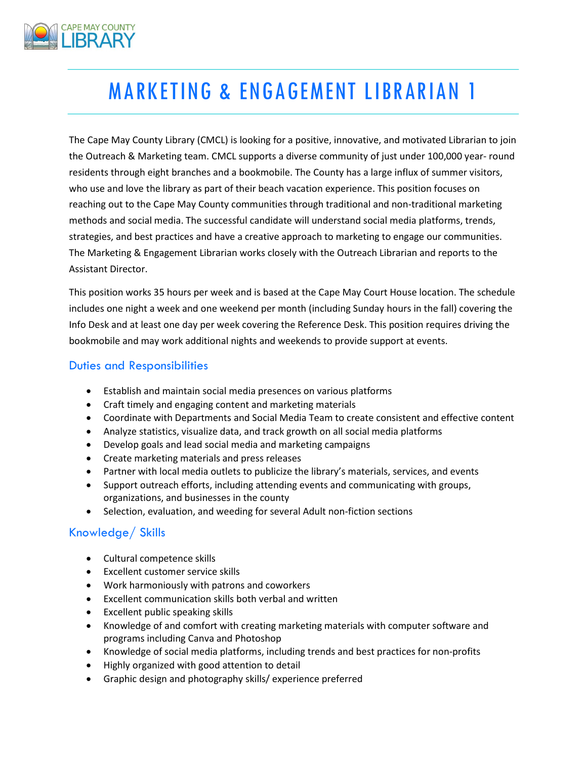

# MARKETING & ENGAGEMENT LIBRARIAN 1

The Cape May County Library (CMCL) is looking for a positive, innovative, and motivated Librarian to join the Outreach & Marketing team. CMCL supports a diverse community of just under 100,000 year- round residents through eight branches and a bookmobile. The County has a large influx of summer visitors, who use and love the library as part of their beach vacation experience. This position focuses on reaching out to the Cape May County communities through traditional and non-traditional marketing methods and social media. The successful candidate will understand social media platforms, trends, strategies, and best practices and have a creative approach to marketing to engage our communities. The Marketing & Engagement Librarian works closely with the Outreach Librarian and reports to the Assistant Director.

This position works 35 hours per week and is based at the Cape May Court House location. The schedule includes one night a week and one weekend per month (including Sunday hours in the fall) covering the Info Desk and at least one day per week covering the Reference Desk. This position requires driving the bookmobile and may work additional nights and weekends to provide support at events.

#### Duties and Responsibilities

- Establish and maintain social media presences on various platforms
- Craft timely and engaging content and marketing materials
- Coordinate with Departments and Social Media Team to create consistent and effective content
- Analyze statistics, visualize data, and track growth on all social media platforms
- Develop goals and lead social media and marketing campaigns
- Create marketing materials and press releases
- Partner with local media outlets to publicize the library's materials, services, and events
- Support outreach efforts, including attending events and communicating with groups, organizations, and businesses in the county
- Selection, evaluation, and weeding for several Adult non-fiction sections

# Knowledge/ Skills

- Cultural competence skills
- Excellent customer service skills
- Work harmoniously with patrons and coworkers
- Excellent communication skills both verbal and written
- Excellent public speaking skills
- Knowledge of and comfort with creating marketing materials with computer software and programs including Canva and Photoshop
- Knowledge of social media platforms, including trends and best practices for non-profits
- Highly organized with good attention to detail
- Graphic design and photography skills/ experience preferred